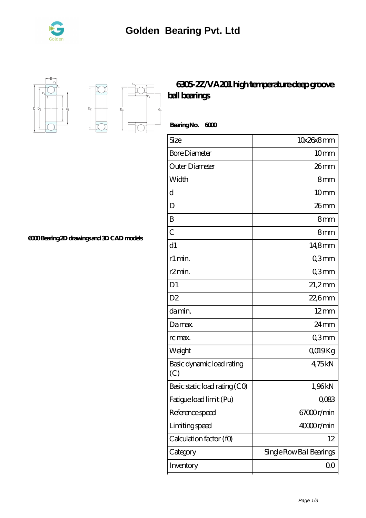



 $D_{a}$ 

 $\overrightarrow{D}$ 

## **[6305-2Z/VA201 high temperature deep groove](https://nrflci.com/sale-64670667-6305-2z-va201-high-temperature-deep-groove-ball-bearings.html) [ball bearings](https://nrflci.com/sale-64670667-6305-2z-va201-high-temperature-deep-groove-ball-bearings.html)**

 **Bearing No. 6000**

| Size                             | 10x26x8mm                |
|----------------------------------|--------------------------|
| <b>Bore Diameter</b>             | 10 <sub>mm</sub>         |
| Outer Diameter                   | 26mm                     |
| Width                            | 8mm                      |
| d                                | 10 <sub>mm</sub>         |
| D                                | $26$ mm                  |
| B                                | 8mm                      |
| $\overline{C}$                   | 8mm                      |
| d1                               | 14,8mm                   |
| r1 min.                          | Q3mm                     |
| r <sub>2</sub> min.              | Q3mm                     |
| D1                               | $21,2$ mm                |
| D <sub>2</sub>                   | 22,6mm                   |
| damin.                           | $12 \text{mm}$           |
| Damax.                           | $24 \,\mathrm{mm}$       |
| rc max.                          | Q3mm                     |
| Weight                           | Q019Kg                   |
| Basic dynamic load rating<br>(C) | 475kN                    |
| Basic static load rating (CO)    | 1,96kN                   |
| Fatigue load limit (Pu)          | $Q$ O $83$               |
| Reference speed                  | 67000r/min               |
| Limiting speed                   | 40000r/min               |
| Calculation factor (f0)          | 12                       |
| Category                         | Single Row Ball Bearings |
| Inventory                        | QO                       |

**[6000 Bearing 2D drawings and 3D CAD models](https://nrflci.com/pic-64670667.html)**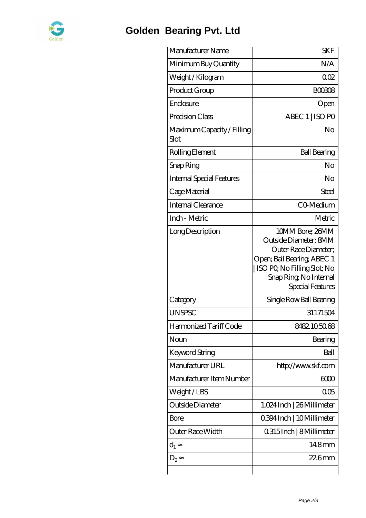

## **[Golden Bearing Pvt. Ltd](https://nrflci.com)**

| Manufacturer Name                  | <b>SKF</b>                                                                                                                                                                 |
|------------------------------------|----------------------------------------------------------------------------------------------------------------------------------------------------------------------------|
| Minimum Buy Quantity               | N/A                                                                                                                                                                        |
| Weight / Kilogram                  | 002                                                                                                                                                                        |
| Product Group                      | <b>BOO308</b>                                                                                                                                                              |
| Enclosure                          | Open                                                                                                                                                                       |
| Precision Class                    | ABEC 1   ISO PO                                                                                                                                                            |
| Maximum Capacity / Filling<br>Slot | No                                                                                                                                                                         |
| Rolling Element                    | <b>Ball Bearing</b>                                                                                                                                                        |
| Snap Ring                          | No                                                                                                                                                                         |
| <b>Internal Special Features</b>   | No                                                                                                                                                                         |
| Cage Material                      | Steel                                                                                                                                                                      |
| <b>Internal Clearance</b>          | CO-Medium                                                                                                                                                                  |
| Inch - Metric                      | Metric                                                                                                                                                                     |
| Long Description                   | 10MM Bore; 26MM<br>Outside Diameter; 8MM<br>Outer Race Diameter;<br>Open; Ball Bearing; ABEC 1<br>ISO PQ No Filling Slot; No<br>Snap Ring, No Internal<br>Special Features |
| Category                           | Single Row Ball Bearing                                                                                                                                                    |
| <b>UNSPSC</b>                      | 31171504                                                                                                                                                                   |
| Harmonized Tariff Code             | 8482105068                                                                                                                                                                 |
| Noun                               | Bearing                                                                                                                                                                    |
| Keyword String                     | Ball                                                                                                                                                                       |
| Manufacturer URL                   | http://www.skf.com                                                                                                                                                         |
| Manufacturer Item Number           | 6000                                                                                                                                                                       |
| Weight/LBS                         | 005                                                                                                                                                                        |
| Outside Diameter                   | 1.024 Inch   26 Millimeter                                                                                                                                                 |
| Bore                               | 0.394 Inch   10 Millimeter                                                                                                                                                 |
| Outer Race Width                   | 0.315 Inch   8 Millimeter                                                                                                                                                  |
| $d_1$                              | 148mm                                                                                                                                                                      |
| $D_2$                              | $226$ mm                                                                                                                                                                   |
|                                    |                                                                                                                                                                            |